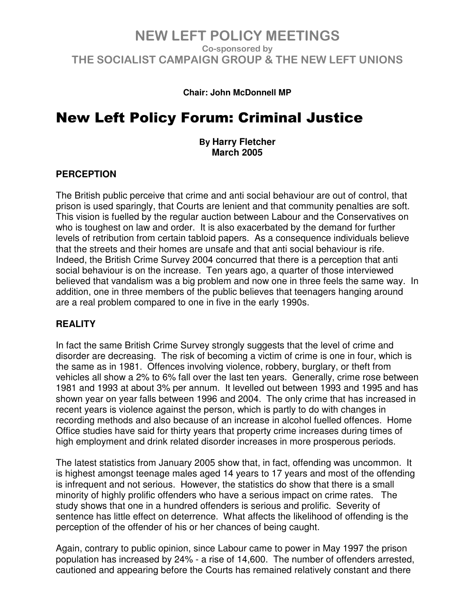#### **Chair: John McDonnell MP**

# New Left Policy Forum: Criminal Justice

**By Harry Fletcher March 2005**

#### **PERCEPTION**

The British public perceive that crime and anti social behaviour are out of control, that prison is used sparingly, that Courts are lenient and that community penalties are soft. This vision is fuelled by the regular auction between Labour and the Conservatives on who is toughest on law and order. It is also exacerbated by the demand for further levels of retribution from certain tabloid papers. As a consequence individuals believe that the streets and their homes are unsafe and that anti social behaviour is rife. Indeed, the British Crime Survey 2004 concurred that there is a perception that anti social behaviour is on the increase. Ten years ago, a quarter of those interviewed believed that vandalism was a big problem and now one in three feels the same way. In addition, one in three members of the public believes that teenagers hanging around are a real problem compared to one in five in the early 1990s.

#### **REALITY**

In fact the same British Crime Survey strongly suggests that the level of crime and disorder are decreasing. The risk of becoming a victim of crime is one in four, which is the same as in 1981. Offences involving violence, robbery, burglary, or theft from vehicles all show a 2% to 6% fall over the last ten years. Generally, crime rose between 1981 and 1993 at about 3% per annum. It levelled out between 1993 and 1995 and has shown year on year falls between 1996 and 2004. The only crime that has increased in recent years is violence against the person, which is partly to do with changes in recording methods and also because of an increase in alcohol fuelled offences. Home Office studies have said for thirty years that property crime increases during times of high employment and drink related disorder increases in more prosperous periods.

The latest statistics from January 2005 show that, in fact, offending was uncommon. It is highest amongst teenage males aged 14 years to 17 years and most of the offending is infrequent and not serious. However, the statistics do show that there is a small minority of highly prolific offenders who have a serious impact on crime rates. The study shows that one in a hundred offenders is serious and prolific. Severity of sentence has little effect on deterrence. What affects the likelihood of offending is the perception of the offender of his or her chances of being caught.

Again, contrary to public opinion, since Labour came to power in May 1997 the prison population has increased by 24% - a rise of 14,600. The number of offenders arrested, cautioned and appearing before the Courts has remained relatively constant and there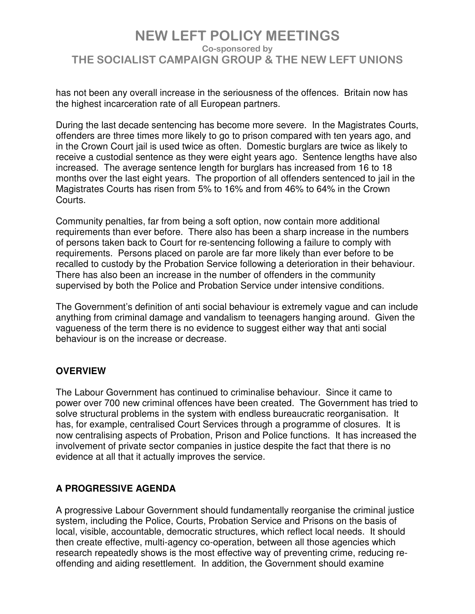has not been any overall increase in the seriousness of the offences. Britain now has the highest incarceration rate of all European partners.

During the last decade sentencing has become more severe. In the Magistrates Courts, offenders are three times more likely to go to prison compared with ten years ago, and in the Crown Court jail is used twice as often. Domestic burglars are twice as likely to receive a custodial sentence as they were eight years ago. Sentence lengths have also increased. The average sentence length for burglars has increased from 16 to 18 months over the last eight years. The proportion of all offenders sentenced to jail in the Magistrates Courts has risen from 5% to 16% and from 46% to 64% in the Crown Courts.

Community penalties, far from being a soft option, now contain more additional requirements than ever before. There also has been a sharp increase in the numbers of persons taken back to Court for re-sentencing following a failure to comply with requirements. Persons placed on parole are far more likely than ever before to be recalled to custody by the Probation Service following a deterioration in their behaviour. There has also been an increase in the number of offenders in the community supervised by both the Police and Probation Service under intensive conditions.

The Government's definition of anti social behaviour is extremely vague and can include anything from criminal damage and vandalism to teenagers hanging around. Given the vagueness of the term there is no evidence to suggest either way that anti social behaviour is on the increase or decrease.

### **OVERVIEW**

The Labour Government has continued to criminalise behaviour. Since it came to power over 700 new criminal offences have been created. The Government has tried to solve structural problems in the system with endless bureaucratic reorganisation. It has, for example, centralised Court Services through a programme of closures. It is now centralising aspects of Probation, Prison and Police functions. It has increased the involvement of private sector companies in justice despite the fact that there is no evidence at all that it actually improves the service.

#### **A PROGRESSIVE AGENDA**

A progressive Labour Government should fundamentally reorganise the criminal justice system, including the Police, Courts, Probation Service and Prisons on the basis of local, visible, accountable, democratic structures, which reflect local needs. It should then create effective, multi-agency co-operation, between all those agencies which research repeatedly shows is the most effective way of preventing crime, reducing reoffending and aiding resettlement. In addition, the Government should examine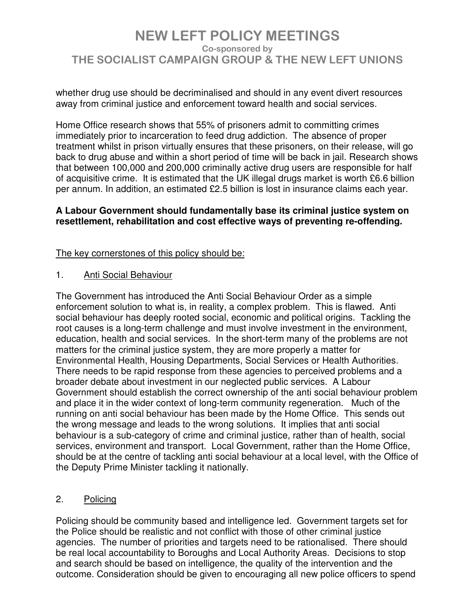whether drug use should be decriminalised and should in any event divert resources away from criminal justice and enforcement toward health and social services.

Home Office research shows that 55% of prisoners admit to committing crimes immediately prior to incarceration to feed drug addiction. The absence of proper treatment whilst in prison virtually ensures that these prisoners, on their release, will go back to drug abuse and within a short period of time will be back in jail. Research shows that between 100,000 and 200,000 criminally active drug users are responsible for half of acquisitive crime. It is estimated that the UK illegal drugs market is worth £6.6 billion per annum. In addition, an estimated £2.5 billion is lost in insurance claims each year.

#### **A Labour Government should fundamentally base its criminal justice system on resettlement, rehabilitation and cost effective ways of preventing re-offending.**

### The key cornerstones of this policy should be:

1. Anti Social Behaviour

The Government has introduced the Anti Social Behaviour Order as a simple enforcement solution to what is, in reality, a complex problem. This is flawed. Anti social behaviour has deeply rooted social, economic and political origins. Tackling the root causes is a long-term challenge and must involve investment in the environment, education, health and social services. In the short-term many of the problems are not matters for the criminal justice system, they are more properly a matter for Environmental Health, Housing Departments, Social Services or Health Authorities. There needs to be rapid response from these agencies to perceived problems and a broader debate about investment in our neglected public services. A Labour Government should establish the correct ownership of the anti social behaviour problem and place it in the wider context of long-term community regeneration. Much of the running on anti social behaviour has been made by the Home Office. This sends out the wrong message and leads to the wrong solutions. It implies that anti social behaviour is a sub-category of crime and criminal justice, rather than of health, social services, environment and transport. Local Government, rather than the Home Office, should be at the centre of tackling anti social behaviour at a local level, with the Office of the Deputy Prime Minister tackling it nationally.

### 2. Policing

Policing should be community based and intelligence led. Government targets set for the Police should be realistic and not conflict with those of other criminal justice agencies. The number of priorities and targets need to be rationalised. There should be real local accountability to Boroughs and Local Authority Areas. Decisions to stop and search should be based on intelligence, the quality of the intervention and the outcome. Consideration should be given to encouraging all new police officers to spend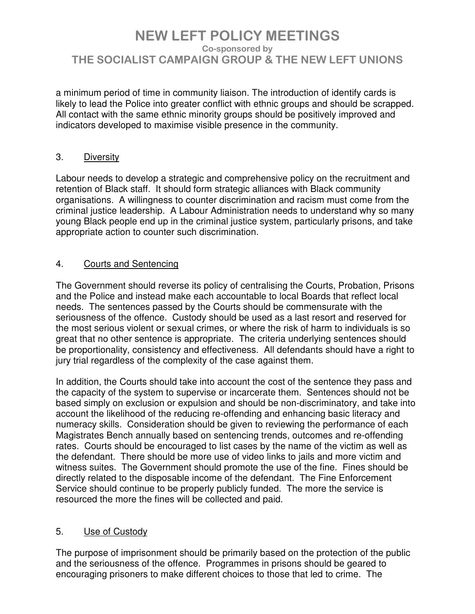a minimum period of time in community liaison. The introduction of identify cards is likely to lead the Police into greater conflict with ethnic groups and should be scrapped. All contact with the same ethnic minority groups should be positively improved and indicators developed to maximise visible presence in the community.

### 3. Diversity

Labour needs to develop a strategic and comprehensive policy on the recruitment and retention of Black staff. It should form strategic alliances with Black community organisations. A willingness to counter discrimination and racism must come from the criminal justice leadership. A Labour Administration needs to understand why so many young Black people end up in the criminal justice system, particularly prisons, and take appropriate action to counter such discrimination.

#### 4. Courts and Sentencing

The Government should reverse its policy of centralising the Courts, Probation, Prisons and the Police and instead make each accountable to local Boards that reflect local needs. The sentences passed by the Courts should be commensurate with the seriousness of the offence. Custody should be used as a last resort and reserved for the most serious violent or sexual crimes, or where the risk of harm to individuals is so great that no other sentence is appropriate. The criteria underlying sentences should be proportionality, consistency and effectiveness. All defendants should have a right to jury trial regardless of the complexity of the case against them.

In addition, the Courts should take into account the cost of the sentence they pass and the capacity of the system to supervise or incarcerate them. Sentences should not be based simply on exclusion or expulsion and should be non-discriminatory, and take into account the likelihood of the reducing re-offending and enhancing basic literacy and numeracy skills. Consideration should be given to reviewing the performance of each Magistrates Bench annually based on sentencing trends, outcomes and re-offending rates. Courts should be encouraged to list cases by the name of the victim as well as the defendant. There should be more use of video links to jails and more victim and witness suites. The Government should promote the use of the fine. Fines should be directly related to the disposable income of the defendant. The Fine Enforcement Service should continue to be properly publicly funded. The more the service is resourced the more the fines will be collected and paid.

#### 5. Use of Custody

The purpose of imprisonment should be primarily based on the protection of the public and the seriousness of the offence. Programmes in prisons should be geared to encouraging prisoners to make different choices to those that led to crime. The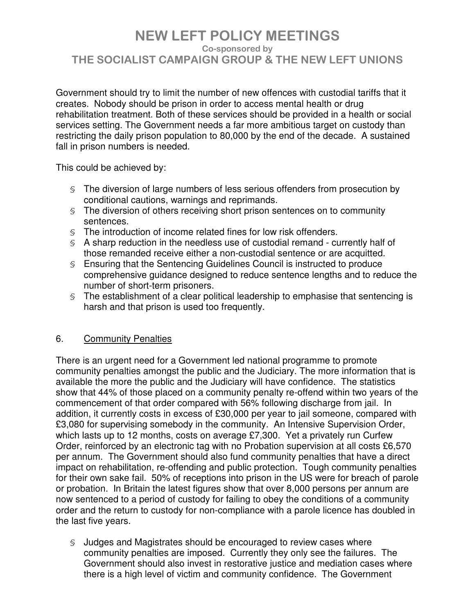Government should try to limit the number of new offences with custodial tariffs that it creates. Nobody should be prison in order to access mental health or drug rehabilitation treatment. Both of these services should be provided in a health or social services setting. The Government needs a far more ambitious target on custody than restricting the daily prison population to 80,000 by the end of the decade. A sustained fall in prison numbers is needed.

This could be achieved by:

- § The diversion of large numbers of less serious offenders from prosecution by conditional cautions, warnings and reprimands.
- § The diversion of others receiving short prison sentences on to community sentences.
- § The introduction of income related fines for low risk offenders.
- § A sharp reduction in the needless use of custodial remand currently half of those remanded receive either a non-custodial sentence or are acquitted.
- § Ensuring that the Sentencing Guidelines Council is instructed to produce comprehensive guidance designed to reduce sentence lengths and to reduce the number of short-term prisoners.
- § The establishment of a clear political leadership to emphasise that sentencing is harsh and that prison is used too frequently.

### 6. Community Penalties

There is an urgent need for a Government led national programme to promote community penalties amongst the public and the Judiciary. The more information that is available the more the public and the Judiciary will have confidence. The statistics show that 44% of those placed on a community penalty re-offend within two years of the commencement of that order compared with 56% following discharge from jail. In addition, it currently costs in excess of £30,000 per year to jail someone, compared with £3,080 for supervising somebody in the community. An Intensive Supervision Order, which lasts up to 12 months, costs on average £7,300. Yet a privately run Curfew Order, reinforced by an electronic tag with no Probation supervision at all costs £6,570 per annum. The Government should also fund community penalties that have a direct impact on rehabilitation, re-offending and public protection. Tough community penalties for their own sake fail. 50% of receptions into prison in the US were for breach of parole or probation. In Britain the latest figures show that over 8,000 persons per annum are now sentenced to a period of custody for failing to obey the conditions of a community order and the return to custody for non-compliance with a parole licence has doubled in the last five years.

§ Judges and Magistrates should be encouraged to review cases where community penalties are imposed. Currently they only see the failures. The Government should also invest in restorative justice and mediation cases where there is a high level of victim and community confidence. The Government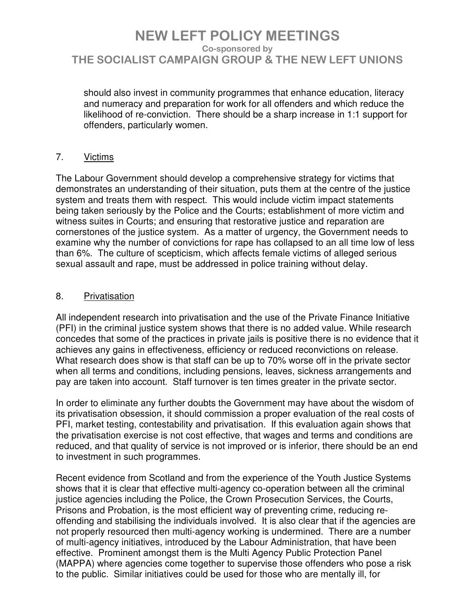should also invest in community programmes that enhance education, literacy and numeracy and preparation for work for all offenders and which reduce the likelihood of re-conviction. There should be a sharp increase in 1:1 support for offenders, particularly women.

### 7. Victims

The Labour Government should develop a comprehensive strategy for victims that demonstrates an understanding of their situation, puts them at the centre of the justice system and treats them with respect. This would include victim impact statements being taken seriously by the Police and the Courts; establishment of more victim and witness suites in Courts; and ensuring that restorative justice and reparation are cornerstones of the justice system. As a matter of urgency, the Government needs to examine why the number of convictions for rape has collapsed to an all time low of less than 6%. The culture of scepticism, which affects female victims of alleged serious sexual assault and rape, must be addressed in police training without delay.

### 8. Privatisation

All independent research into privatisation and the use of the Private Finance Initiative (PFI) in the criminal justice system shows that there is no added value. While research concedes that some of the practices in private jails is positive there is no evidence that it achieves any gains in effectiveness, efficiency or reduced reconvictions on release. What research does show is that staff can be up to 70% worse off in the private sector when all terms and conditions, including pensions, leaves, sickness arrangements and pay are taken into account. Staff turnover is ten times greater in the private sector.

In order to eliminate any further doubts the Government may have about the wisdom of its privatisation obsession, it should commission a proper evaluation of the real costs of PFI, market testing, contestability and privatisation. If this evaluation again shows that the privatisation exercise is not cost effective, that wages and terms and conditions are reduced, and that quality of service is not improved or is inferior, there should be an end to investment in such programmes.

Recent evidence from Scotland and from the experience of the Youth Justice Systems shows that it is clear that effective multi-agency co-operation between all the criminal justice agencies including the Police, the Crown Prosecution Services, the Courts, Prisons and Probation, is the most efficient way of preventing crime, reducing reoffending and stabilising the individuals involved. It is also clear that if the agencies are not properly resourced then multi-agency working is undermined. There are a number of multi-agency initiatives, introduced by the Labour Administration, that have been effective. Prominent amongst them is the Multi Agency Public Protection Panel (MAPPA) where agencies come together to supervise those offenders who pose a risk to the public. Similar initiatives could be used for those who are mentally ill, for